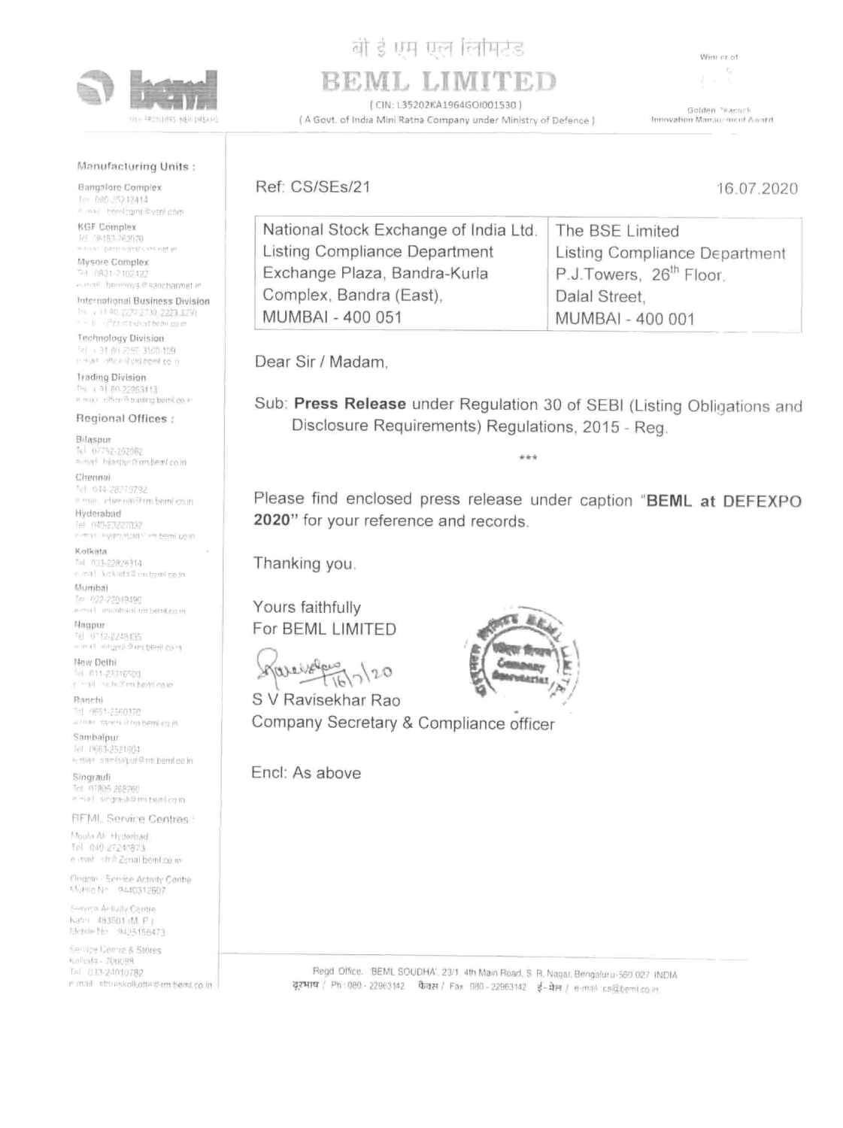

电平均分 计程序 计数字符号

# बी है एम एल लिमिटेड  $\begin{array}{c}\n \text{a)} \n \text{b)} \n \text{c)} \n \text{d} \n \text{d} \n \text{d} \n \text{d} \n \text{d} \n \text{d} \n \text{d} \n \text{d} \n \text{d} \n \text{d} \n \text{d} \n \text{d} \n \text{d} \n \text{d} \n \text{d} \n \text{d} \n \text{d} \n \text{d} \n \text{d} \n \text{d} \n \text{d} \n \text{d} \n \text{d} \n \text{d} \n \text{d} \n \text{d} \n \text{d} \n \text$

# Manufacturing Units :

Bangalore Complex hm. Bdd. 352 h2414 scam vanilymer vsni.com

KGF Complex<br>Te} OBt53-202020 Mysore Complex

anchang in Santangang (Santangang Santangang)<br>Tanggal ing Kabupatèn Indonesia

International Business Division<br>1<sub>223</sub>, 233<sub>6</sub>, 2233, 335¢<br>223 Stringer Countermoun

Technology Division<br>Fil + 31 (PLZ En 3100-109 nature officient and the re-

Bilaspur nal biza<u>s-262062</u><br>al bilasbur sirm bemt.co.in

Hyderabad Tel (+ Contrast Linguage (Plant Line Patron) (2018)

Kolkata<br>Te) 033-22828714<br>6 mai 'kokata Simibemico.in

Mumbai<br>Tei 1922-22003190<br>Armal Turumbard em.bemicroni

Nagpur 例 第12-22特征 an and a compact of my bent injury.

New Dethi in the method and have the most

Trading Division Tel 4 9-80-22963113 ool offices trading beml.co ur

Regional Offices :

Moula Al, Hyderbad Tal 040-27240873 e mail shift Zonal benit co m

Ciridote - Service Activity Centre 1440312802

Chennai

2 Cente a Stores Kollusta - ZOUDBR Tel: 013/24010782 mini storenkolledte ziem hemi co in

Tal 44-28279792 i) channalerm,bemléo.in

Ranchi 1651-2500370

a mar ranch on bemicom<br>**Sambalpur**<br>fol rii63-2821664 + that sambagur@mbemLeoin

Singrauli<br>Tel 07805 288260 4 一诗 《听雷南非管理》 预用 2018

## BEML Service Centres :

# BEML LIMITEI



| Winnerof                                                                                                           |  |
|--------------------------------------------------------------------------------------------------------------------|--|
| <b>AMITED</b><br>Valley B                                                                                          |  |
| Golden Peacock<br>A Govt. of India Mini Ratha Company under Ministry of Defence )<br>Introvation Management Award. |  |
| 16.07.2020                                                                                                         |  |
| The BSE Limited                                                                                                    |  |
| Listing Compliance Department                                                                                      |  |
| P.J.Towers, 26 <sup>th</sup> Floor.<br>Dalal Street,                                                               |  |
| MUMBAI - 400 001                                                                                                   |  |
|                                                                                                                    |  |

Dear Sir / Madam,

Sub: Press Release under Regulation 30 of SEBI (Listing Obligations and Disclosure Requirements) Regulations, 2015 - Reg.

Please find enclosed press release under caption "BEML at DEFEXPO 2020" for your reference and records.

Thanking you.

Yours faithfully For BEML LIMITED



S V Ravisekhar Rao Company Secretary & Compliance officer

Encl: As above



Service Activity Centre  $Katm = 483501$  (ML  $F$  ) agasud imt F |<br>No −9495166473

> Regd Office. 'BEML SOUDHA', 23/1. 4th Main Road, S.A, Nagar, Bengaluru-560 027. INDIA FONT / Ph: 080- 22083142 teeet/ Fax 090-22963142 ¥-Na/ e-mail -cs@bem|co.in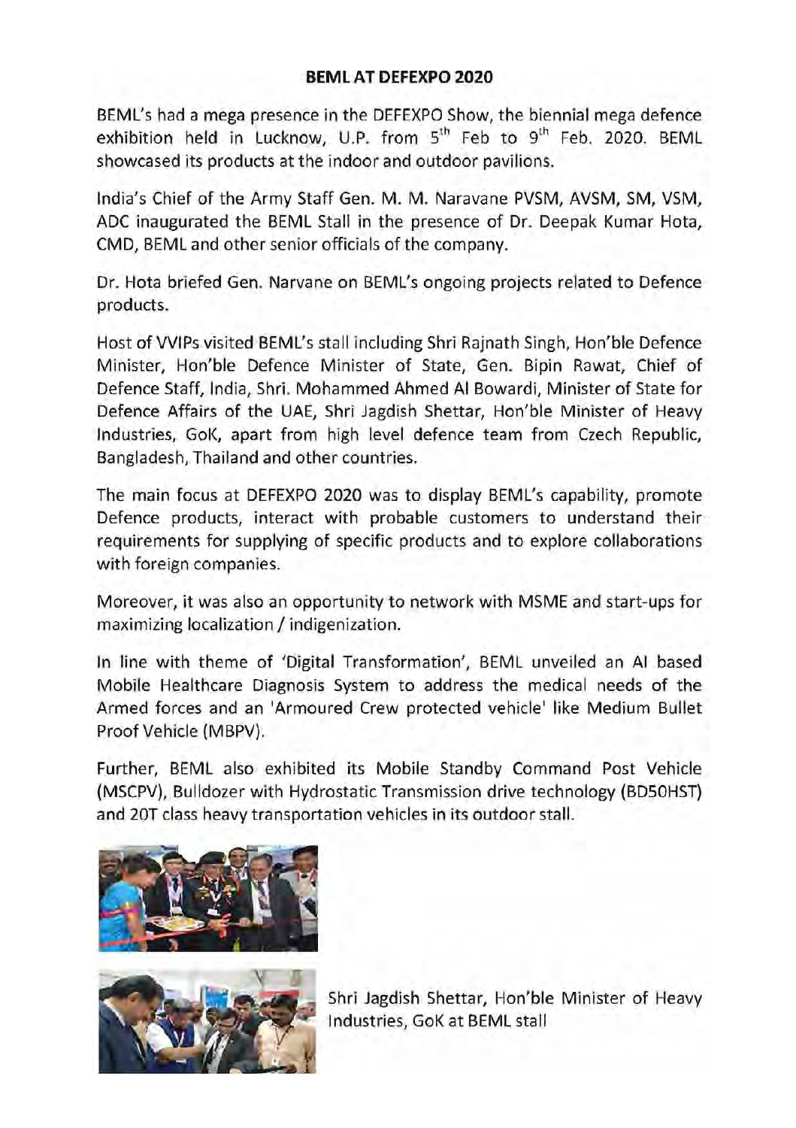### BEML AT DEFEXPO 2020

BEML's had a mega presence in the DEFEXPO Show, the biennial mega defence exhibition held in Lucknow, U.P. from  $5^{th}$  Feb to  $9^{th}$  Feb. 2020. BEML showcased its products at the indoor and outdoor pavilions.

India's Chief of the Army Staff Gen. M. M. Naravane PVSM, AVSM, SM, VSM, ADC inaugurated the BEML Stall in the presence of Dr. Deepak Kumar Hota, CMD, BEML and other senior officials of the company.

Dr. Hota briefed Gen. Narvane on BEML's ongoing projects related to Defence products.

Host of VVIPs visited BEML's stall including Shri Rajnath Singh, Hon'ble Defence Minister, Hon'ble Defence Minister of State, Gen. Bipin Rawat, Chief of Defence Staff, India, Shri. Mohammed Ahmed Al Bowardi, Minister of State for Defence Affairs of the UAE, Shri Jagdish Shettar, Hon'ble Minister of Heavy Industries, GoK, apart from high level defence team from Czech Republic, Bangladesh, Thailand and other countries.

The main focus at DEFEXPO 2020 was to display BEML's capability, promote Defence products, interact with probable customers to understand their requirements for supplying of specific products and to explore collaborations with foreign companies.

Moreover, it was also an opportunity to network with MSME and start-ups for maximizing localization / indigenization.

In line with theme of 'Digital Transformation', BEML unveiled an Al based Mobile Healthcare Diagnosis System to address the medical needs of the Armed forces and an 'Armoured Crew protected vehicle' like Medium Bullet Proof Vehicle (MBPV).

Further, BEML also exhibited its Mobile Standby Command Post Vehicle (MSCPV), Bulldozer with Hydrostatic Transmission drive technology (BDSOHST) and 20T class heavy transportation vehicles in its outdoor stall.





Shri Jagdish Shettar, Hon'ble Minister of Heavy Industries, GoK at BEML stall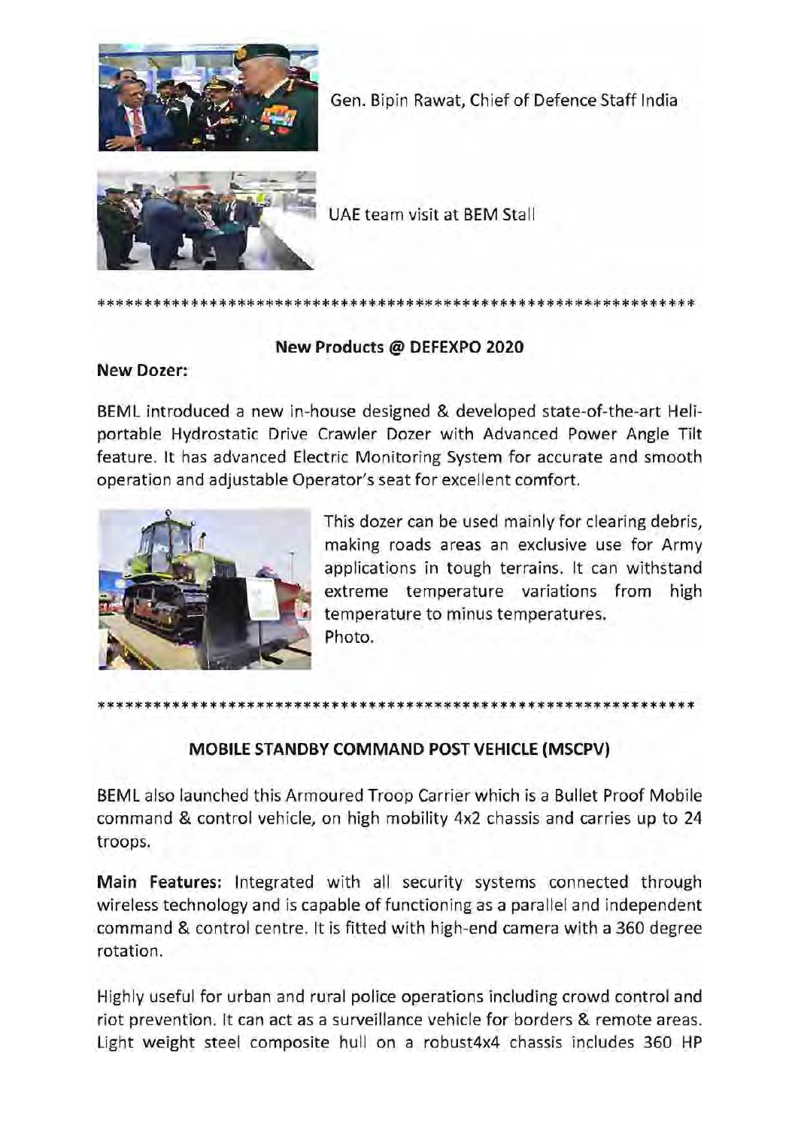

Gen. Bipin Rawat, Chief of Defence Staff India



UAE team visit at BEM Stall

### eR ok ao ok oko ae kkk ko a kc ke ke ke ic ke ic oie oe ie oe oi cc oe oie oie oe ke ok ok

### New Products @ DEFEXPO 2020

### New Dozer:

BEML introduced a new in-house designed & developed state-of-the-art Heliportable Hydrostatic Drive Crawler Dozer with Advanced Power Angle Tilt feature. It has advanced Electric Monitoring System for accurate and smooth operation and adjustable Operator's seat for excellent comfort.



This dozer can be used mainly for clearing debris, making roads areas an exclusive use for Army applications in tough terrains. It can withstand extreme temperature variations from high temperature to minus temperatures. Photo.

# eR ok ao ok oko ae kkk ko a kc ke ke ke ic ke ic oie oe ie oe oi cc oe oie oie oe ke ok ok

### MOBILE STANDBY COMMAND POST VEHICLE (MSCPV)

BEML also launched this Armoured Troop Carrier which is a Bullet Proof Mobile command & control vehicle, on high mobility 4x2 chassis and carries up to 24 troops.

Main Features: Integrated with all security systems connected through wireless technology and is capable of functioning as a parallel and independent command & control centre. It is fitted with high-end camera with a 360 degree rotation.

wireless technicommand & contation.<br>Highly useful friot prevention<br>Light weight command & corotation.<br>Highly useful friot prevention<br>Light weight Highly useful for urban and rural police operations including crowd control and riot prevention. It can act as a surveillance vehicle for borders & remote areas. Light weight steel composite hull on a robust4x4 chassis includes 360 HP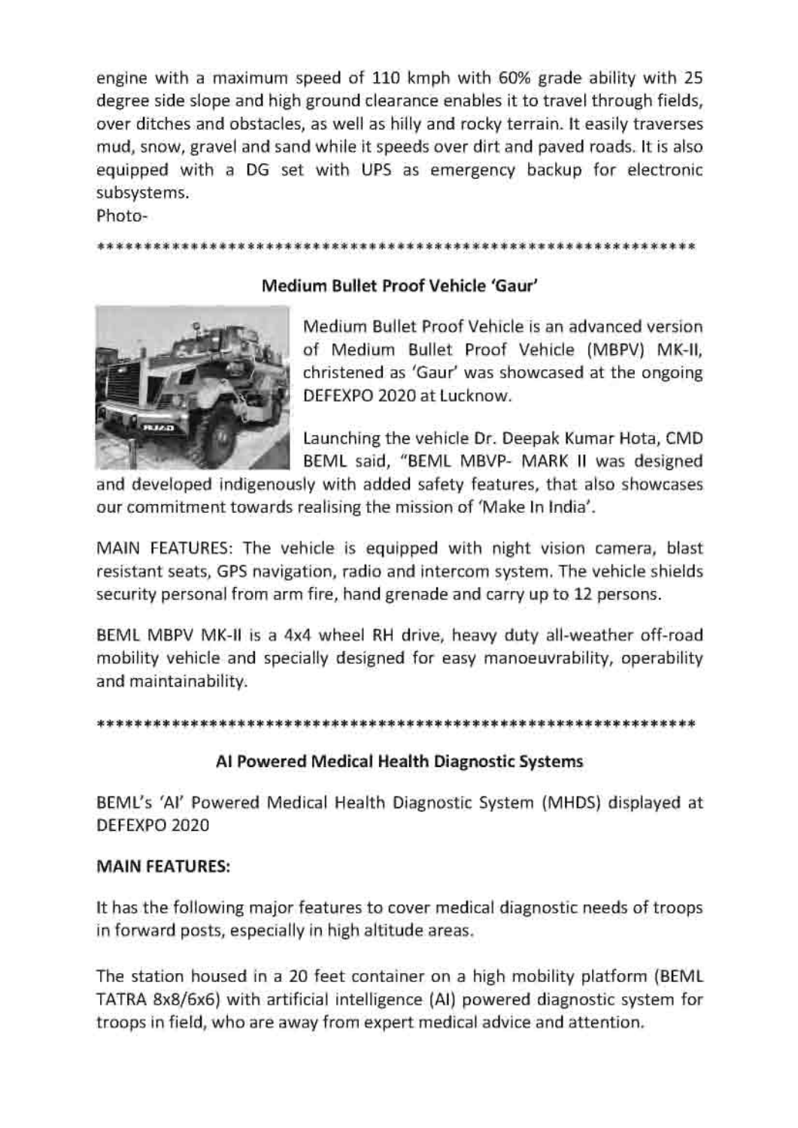engine with a maximum speed of 110 kmph with 60% grade ability with 25 degree side slope and high ground clearance enables it to travel through fields, over ditches and obstacles, as well as hilly and rocky terrain. It easily traverses mud, snow, gravel and sand while it speeds over dirt and paved roads. It is also equipped with a DG set with UPS as emergency backup for electronic subsystems.

Photo-

### 2K 2 9 ok 2k ok oo ok ok ok ok 2K 2 a OK OK ok OK ok ok OK 2 ok oe 2 oe 2K oo ok oko 2K ok ok 2 ok ok ok 2 ok ok ok ok ok Ok ok ok 2 Ko OK Ko KK

### Medium Bullet Proof Vehicle 'Gaur'



Medium Bullet Proof Vehicle is an advanced version of Medium Bullet Proof Vehicle (MBPV) MK-ll, christened as 'Gaur' was showcased at the ongoing DEFEXPO 2020 at Lucknow.

Launching the vehicle Dr. Deepak Kumar Hota, CMD BEML said, "BEML MBVP- MARK II was designed

and developed indigenously with added safety features, that also showcases our commitment towards realising the mission of 'Make In India'.

MAIN FEATURES: The vehicle is equipped with night vision camera, blast resistant seats, GPS navigation, radio and intercom system. The vehicle shields security personal from arm fire, hand grenade and carry up to 12 persons.

BEML MBPV MK-II is a 4x4 wheel RH drive, heavy duty all-weather off-road mobility vehicle and specially designed for easy manoeuvrability, operability and maintainability.

3 2G eo 2 ie ie ok oie fe oe ie fe 2 oie fe oe 2 oie ie ok fe fe oe oie fe fe oie oie of oe oie ie ok fe fe oie fe fe oie oie of 2 oie oie 9 oie oie eo fe ee oie fe 2 oe eo ok oe oe ok

### Al Powered Medical Health Diagnostic Systems

BEML's 'Al' Powered Medical Health Diagnostic System (MHDS) displayed at DEFEXPO 2020

### MAIN FEATURES:

It has the following major features to cover medical diagnostic needs of troops in forward posts, especially in high altitude areas.

In forward po<br>The station<br>TATRA 8x8/6<br>troops in fiel The station housed in a 20 feet container on a high mobility platform (BEML TATRA 8x8/6x6) with artificial intelligence (Al) powered diagnostic system for troops in field, who are away from expert medical advice and attention.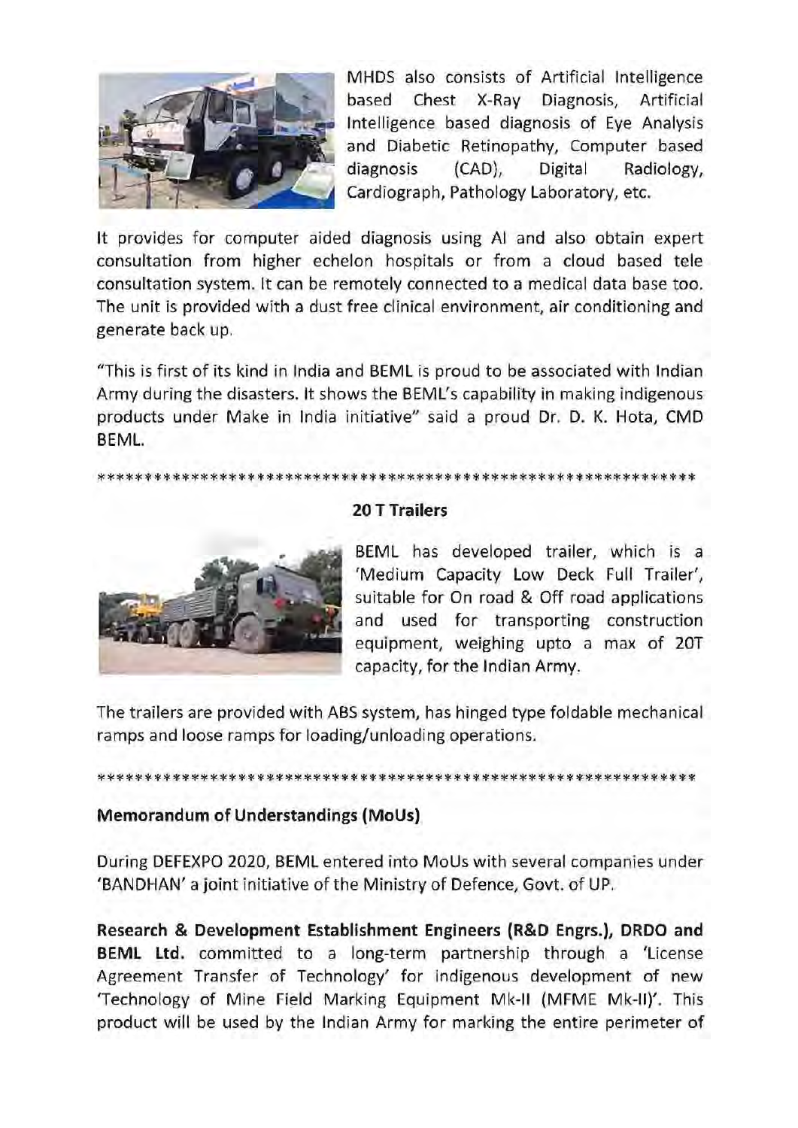

MHDS also consists of Artificial Intelligence based Chest X-Ray Diagnosis, Artificial Intelligence based diagnosis of Eye Analysis and Diabetic Retinopathy, Computer based diagnosis (CAD), Digital Radiology, Cardiograph, Pathology Laboratory, etc.

It provides for computer aided diagnosis using Al and also obtain expert consultation from higher echelon hospitals or from a cloud based tele consultation system. It can be remotely connected to a medical data base too. The unit is provided with a dust free clinical environment, air conditioning and generate back up.

"This is first of its kind in India and BEML is proud to be associated with Indian Army during the disasters. It shows the BEML's capability in making indigenous products under Make in India initiative" said a proud Dr. D. K. Hota, CMD BEML.

### BK 2g 2c 24g fgg 2k 2k 2 2 fe 2c Ie Ig fe 2k 2g 2 2c 2c 24g afk fe fe 2k 2g 2 2 2c 2 oie fg 24 2k 2 2 fe 2c fg Ig fe 2k 2k 2 2k 2c 2 aie fe fe 2k 2 2c ofc fe aie Is fe 2k 2k OK 2k 2 2k



### 20 T Trailers

BEML has developed trailer, which is a 'Medium Capacity Low Deck Full Trailer', suitable for On road & Off road applications and used for transporting construction equipment, weighing upto a max of 20T capacity, for the Indian Army.

The trailers are provided with ABS system, has hinged type foldable mechanical ramps and loose ramps for loading/unloading operations.

### BK 2g 2c 24g fgg 2k 2k 2 2 fe 2c Ie Ig fe 2k 2g 2 2c 2c 24g afk fe fe 2k 2g 2 2 2c 2 oie fg 24 2k 2 2 fe 2c fg Ig fe 2k 2k 2 2k 2c 2 aie fe fe 2k 2 2c ofc fe aie Is fe 2k 2k OK 2k 2 2k

### Memorandum of Understandings (MoUs)

During DEFEXPO 2020, BEML entered into MoUs with several companies under 'BANDHAN' a joint initiative of the Ministry of Defence, Govt. of UP.

BANDHAN' a Jone<br>
Research & De<br>
BEML Ltd. conformation Transformation BANDHAN a JOI<br>Research & Dev<br>BEML Ltd. cor<br>Agreement Tra<br>Technology of<br>product will be Research & Development Establishment Engineers (R&D Engrs.), DRDO and BEML Ltd. committed to a long-term partnership through a 'License Agreement Transfer of Technology' for indigenous development of new 'Technology of Mine Field Marking Equipment Mk-Il (MFME Mk-ll)'. This product will be used by the Indian Army for marking the entire perimeter of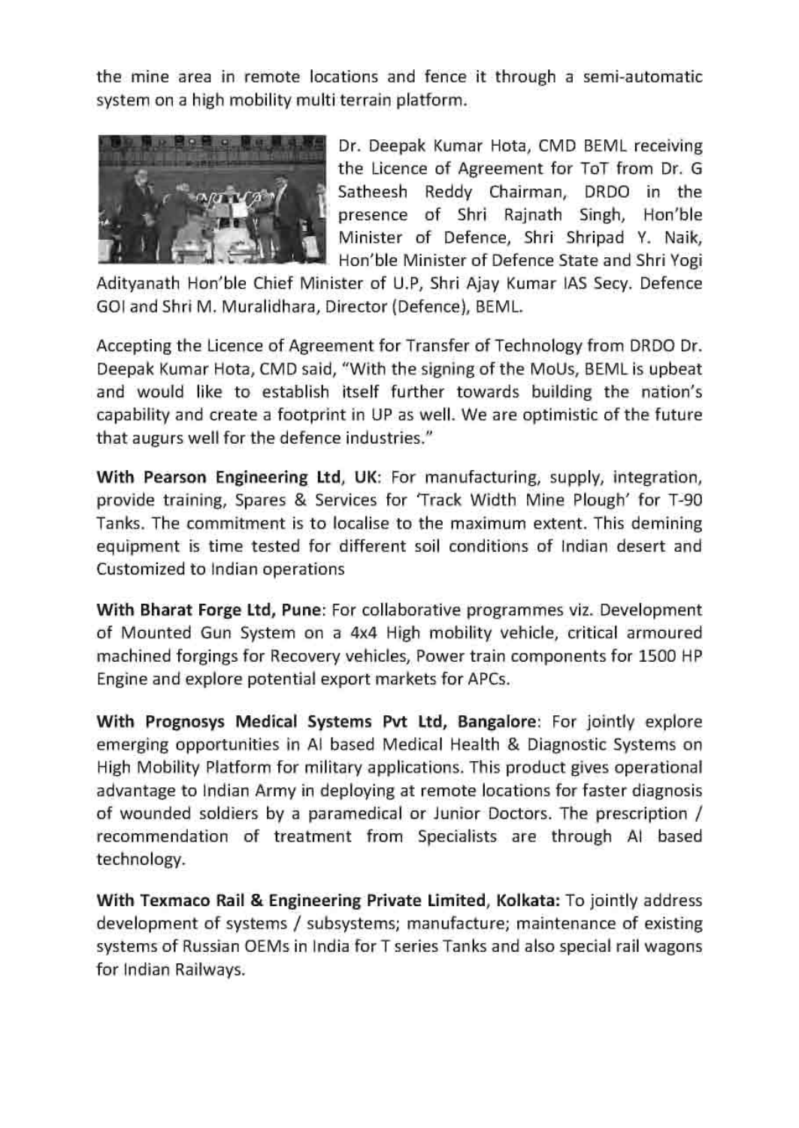the mine area in remote locations and fence it through a semi-automatic



Dr. Deepak Kumar Hota, CMD BEML receiving the Licence of Agreement for ToT from Dr. G Satheesh Reddy Chairman, DRDO in the presence of Shri Rajnath Singh, Hon'ble Minister of Defence, Shri Shripad Y. Naik, Hon'ble Minister of Defence State and Shri Yogi

Adityanath Hon'ble Chief Minister of U.P, Shri Ajay Kumar IAS Secy. Defence GOI and Shri M. Muralidhara, Director (Defence), BEML.

Accepting the Licence of Agreement for Transfer of Technology from DRDO Dr. Deepak Kumar Hota, CMD said, "With the signing of the MoUs, BEML is upbeat and would like to establish itself further towards building the nation's capability and create a footprint in UP as well. We are optimistic of the future that augurs well for the defence industries."

With Pearson Engineering Ltd, UK: For manufacturing, supply, integration, provide training, Spares & Services for 'Track Width Mine Plough' for T-90 Tanks. The commitment is to localise to the maximum extent. This demining equipment is time tested for different soil conditions of Indian desert and Customized to Indian operations

With Bharat Forge Ltd, Pune: For collaborative programmes viz. Development of Mounted Gun System on a 4x4 High mobility vehicle, critical armoured machined forgings for Recovery vehicles, Power train components for 1500 HP Engine and explore potential export markets for APCs.

With Prognosys Medical Systems Pvt Ltd, Bangalore: For jointly explore emerging opportunities in Al based Medical Health & Diagnostic Systems on High Mobility Platform for military applications. This product gives operational advantage to Indian Army in deploying at remote locations for faster diagnosis of wounded soldiers by a paramedical or Junior Doctors. The prescription / recommendation of treatment from Specialists are through Al based technology.

for Indian R With Texmaco Rail & Engineering Private Limited, Kolkata: To jointly address development of systems / subsystems; manufacture; maintenance of existing systems of Russian OEMs in India for T series Tanks and also special rail wagons for Indian Railways.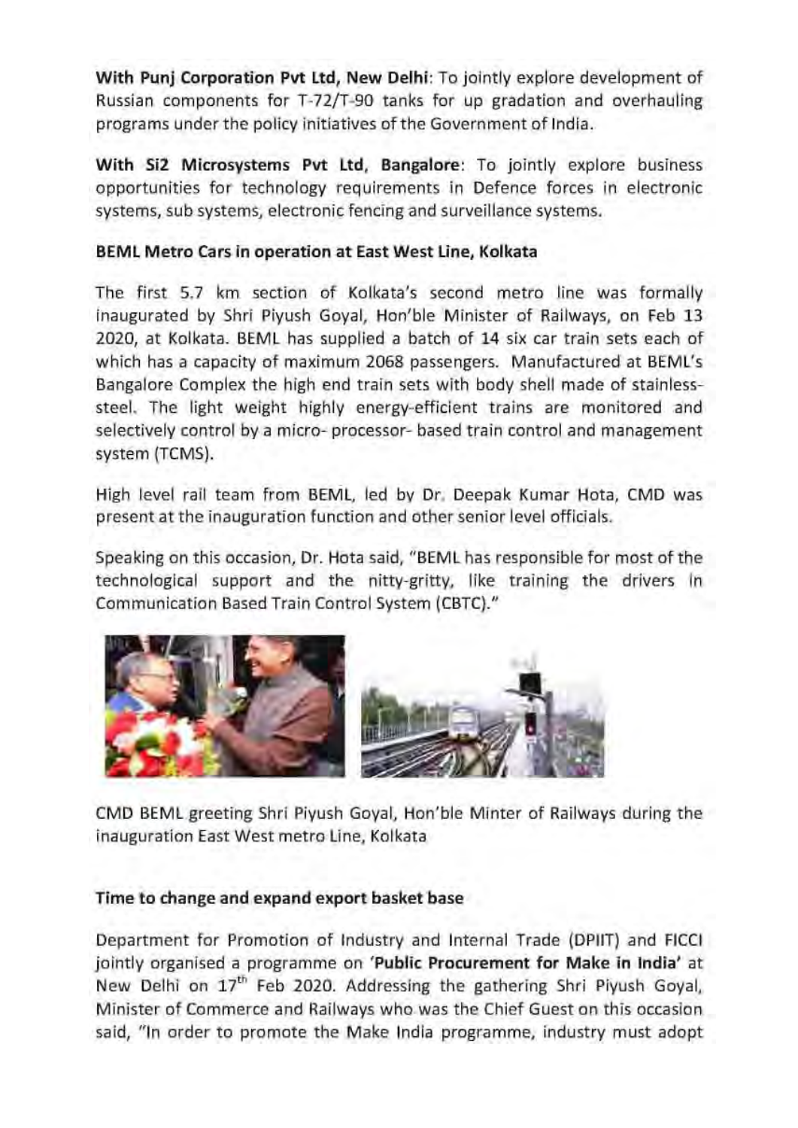With Punj Corporation Pvt Ltd, New Delhi: To jointly explore development of Russian components for T-72/T-90 tanks for up gradation and overhauling programs under the policy initiatives of the Government of India.

With Si2 Microsystems Pvt Ltd, Bangalore: To jointly explore business opportunities for technology requirements in Defence forces in electronic systems, sub systems, electronic fencing and surveillance systems.

### BEML Metro Cars in operation at East West Line, Kolkata

The first 5.7 km section of Kolkata's second metro line was formally inaugurated by Shri Piyush Goyal, Hon'ble Minister of Railways, on Feb 13 2020, at Kolkata. BEML has supplied a batch of 14 six car train sets each of which has a capacity of maximum 2068 passengers. Manufactured at BEML's Bangalore Complex the high end train sets with body shell made of stainlesssteel. The light weight highly energy-efficient trains are monitored and selectively control by a micro- processor- based train control and management system (TCMS).

High level rail team from BEML, led by Dr. Deepak Kumar Hota, CMD was present at the inauguration function and other senior level officials.

Speaking on this occasion, Dr. Hota said, "BEML has responsible for most of the technological support and the nitty-gritty, like training the drivers in Communication Based Train Control System (CBTC)."



CMD BEML greeting Shri Piyush Goyal, Hon'ble Minter of Railways during the inauguration East West metro Line, Kolkata

### Time to change and expand export basket base

Department for Promotion of Industry and Internal Trade (DPIIT) and FICCI jointly organised a programme on 'Public Procurement for Make in India' at New Delhi on 17" Feb 2020. Addressing the gathering Shri Piyush Goyal, Minister of Commerce and Railways who was the Chief Guest on this occasion said, "In order to promote the Make India programme, industry must adopt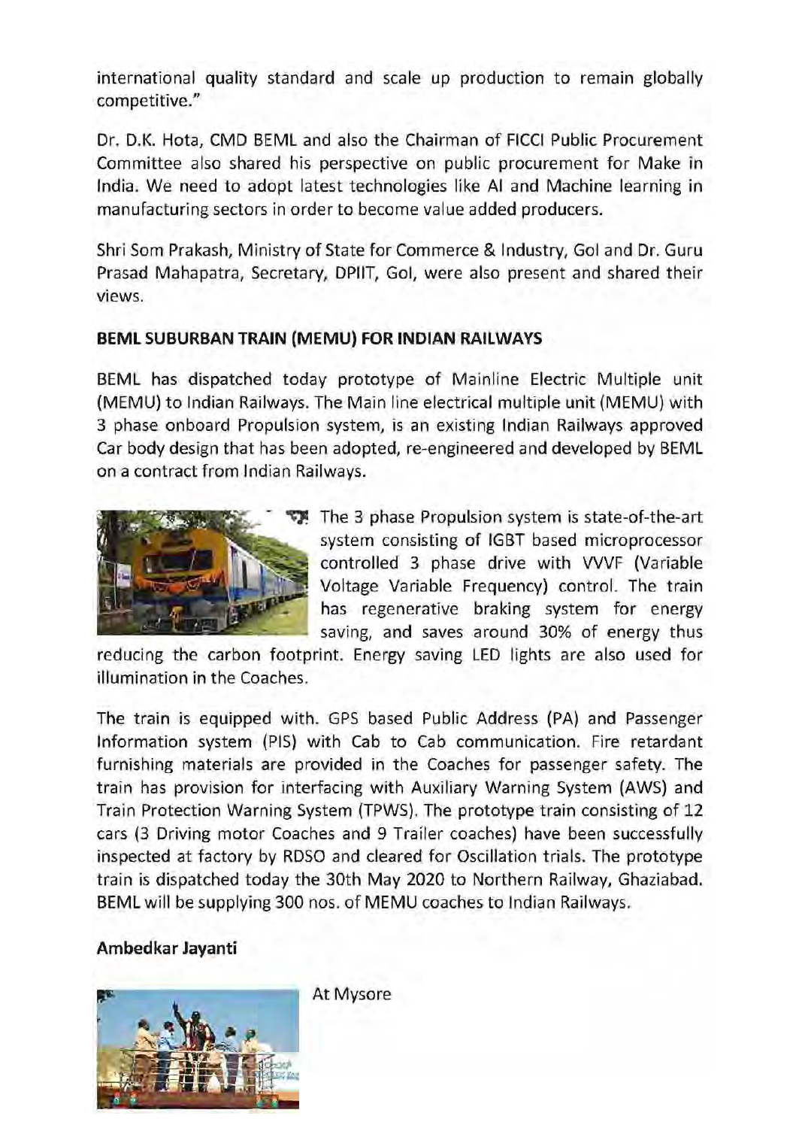international quality standard and scale up production to remain globally competitive."

Dr. D.K. Hota, CMD BEML and also the Chairman of FICCI Public Procurement Committee also shared his perspective on public procurement for Make in India. We need to adopt latest technologies like Al and Machine learning in manufacturing sectors in order to become value added producers.

Shri Som Prakash, Ministry of State for Commerce & Industry, Gol and Dr. Guru Prasad Mahapatra, Secretary, DPIIT, Gol, were also present and shared their views.

### BEML SUBURBAN TRAIN (MEMU) FOR INDIAN RAILWAYS

BEML has dispatched today prototype of Mainline Electric Multiple unit (MEMU) to Indian Railways. The Main line electrical multiple unit (MEMU) with 3 phase onboard Propulsion system, is an existing Indian Railways approved Car body design that has been adopted, re-engineered and developed by BEML ona contract from Indian Railways. (MEMU) 1<br>3 phase of<br>Car body<br>on a cont



The 3 phase Propulsion system is state-of-the-art system consisting of IGBT based microprocessor controlled 3 phase drive with VVVF (Variable Voltage Variable Frequency) control. The train has regenerative braking system for energy saving, and saves around 30% of energy thus

reducing the carbon footprint. Energy saving LED lights are also used for illumination in the Coaches.

The train is equipped with. GPS based Public Address (PA) and Passenger Information system (PIS) with Cab to Cab communication. Fire retardant furnishing materials are provided in the Coaches for passenger safety. The train has provision for interfacing with Auxiliary Warning System (AWS) and Train Protection Warning System (TPWS). The prototype train consisting of 12 cars (3 Driving motor Coaches and 9 Trailer coaches) have been successfully inspected at factory by RDSO and cleared for Oscillation trials. The prototype train is dispatched today the 30th May 2020 to Northern Railway, Ghaziabad. BEML will be supplying 300 nos. of MEMU coaches to Indian Railways.

### Ambedkar Jayanti



At Mysore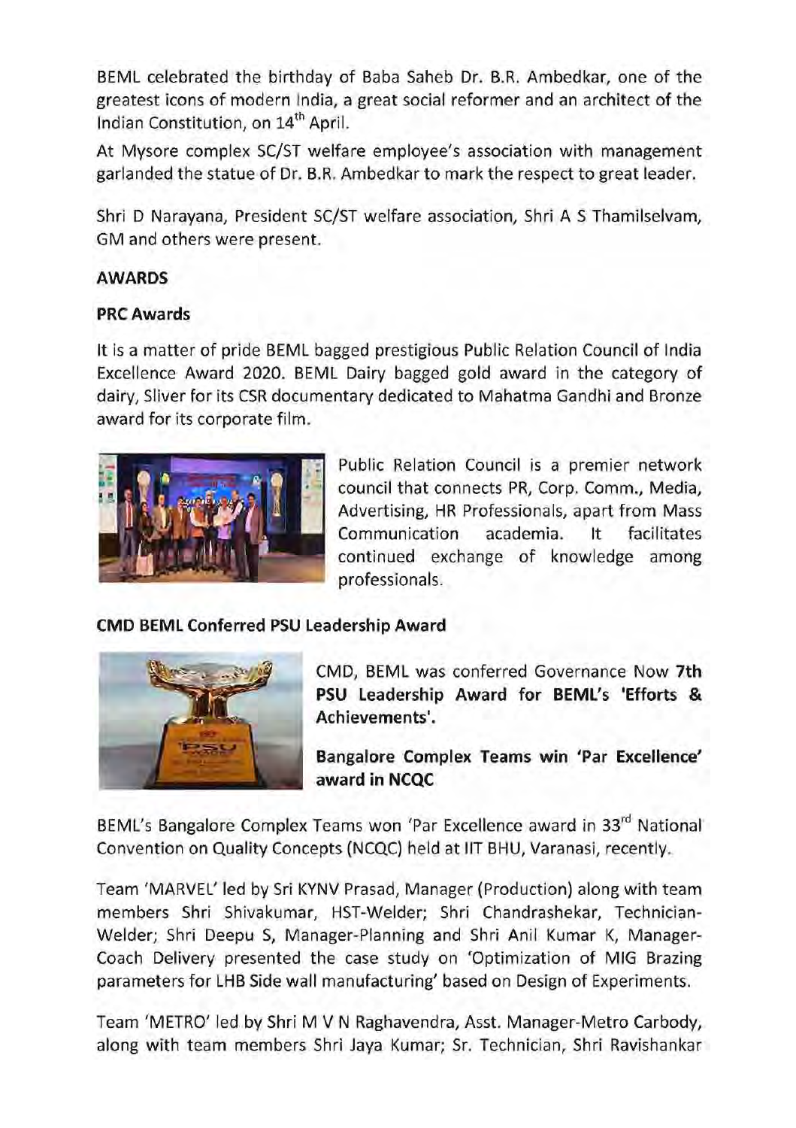BEML celebrated the birthday of Baba Saheb Dr. B.R. Ambedkar, one of the greatest icons of modern India, a great social reformer and an architect of the Indian Constitution, on 14" April.

At Mysore complex SC/ST welfare employee's association with management garlanded the statue of Dr. B.R. Ambedkar to mark the respect to great leader.

Shri D Narayana, President SC/ST welfare association, Shri A S Thamilselvam, GM and others were present.

### AWARDS

### PRC Awards

It is a matter of pride BEML bagged prestigious Public Relation Council of India Excellence Award 2020. BEML Dairy bagged gold award in the category of dairy, Sliver for its CSR documentary dedicated to Mahatma Gandhi and Bronze award for its corporate film.



Public Relation Council is a premier network council that connects PR, Corp. Comm., Media, Advertising, HR Professionals, apart from Mass Communication academia. It facilitates continued exchange of knowledge among professionals.

### CMD BEML Conferred PSU Leadership Award



CMD, BEML was conferred Governance Now 7th PSU Leadership Award for BEML's 'Efforts & Achievements'.

Bangalore Complex Teams win 'Par Excellence' award in NCQC

Convention on Quality Concepts (NCQC) held at IIT BHU, Varanasi, recently.

members Shri<br>Welder; Shri E<br>Coach Delivery<br>parameters for<br>Team 'METRO'<br>along with tea BEML's Bangalore Complex Teams won 'Par Excellence award in 33<sup>rd</sup> National<br>Convention on Quality Concepts (NCQC) held at IIT BHU, Varanasi, recently.<br>Team 'MARVEL' led by Sri KYNV Prasad, Manager (Production) along with t Team 'MARVEL' led by Sri KYNV Prasad, Manager (Production) along with team members Shri Shivakumar, HST-Welder; Shri Chandrashekar, Technician-Welder; Shri Deepu S, Manager-Planning and Shri Anil Kumar K, Manager-Coach Delivery presented the case study on 'Optimization of MIG Brazing parameters for LHB Side wall manufacturing' based on Design of Experiments.

Team 'METRO' led by Shri M V N Raghavendra, Asst. Manager-Metro Carbody, along with team members Shri Jaya Kumar; Sr. Technician, Shri Ravishankar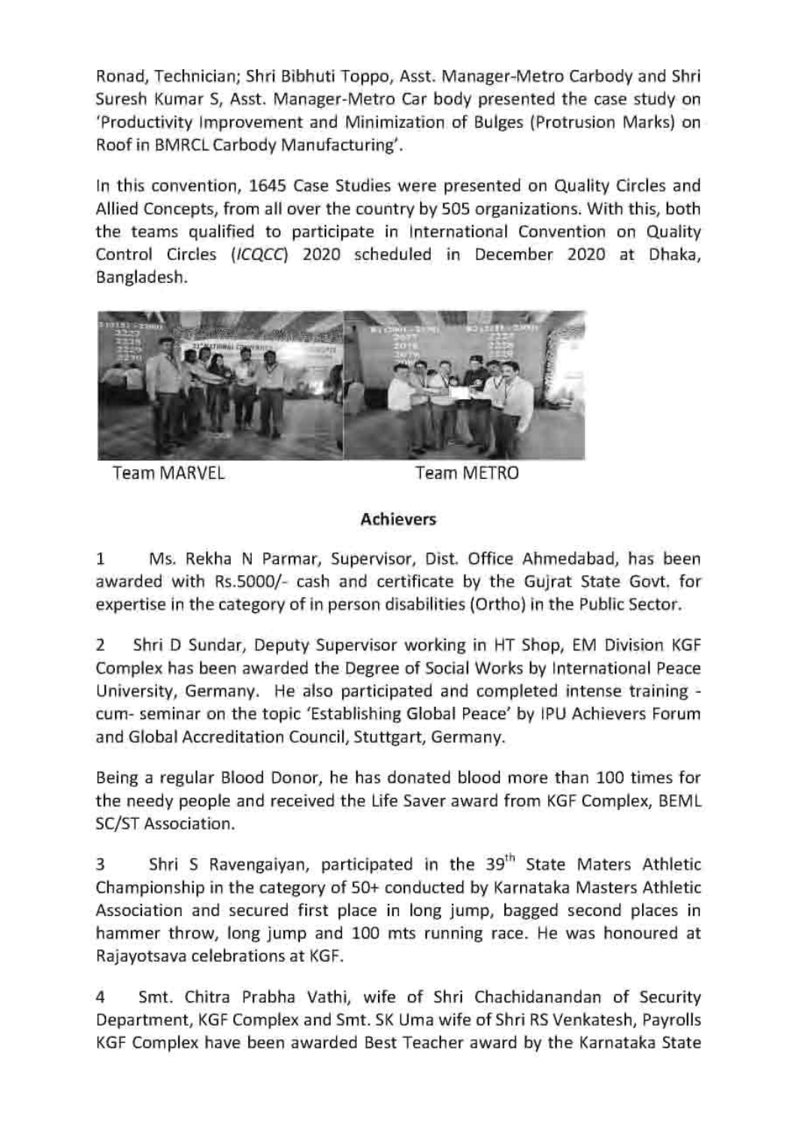Ronad, Technician; Shri Bibhuti Toppo, Asst. Manager-Metro Carbody and Shri Suresh Kumar S, Asst. Manager-Metro Car body presented the case study on 'Productivity Improvement and Minimization of Bulges (Protrusion Marks) on Roof in BMRCL Carbody Manufacturing'.

In this convention, 1645 Case Studies were presented on Quality Circles and Allied Concepts, from all over the country by 505 organizations. With this, both the teams qualified to participate in International Convention on Quality Control Circles (ICQCC) 2020 scheduled in December 2020 at Dhaka, Bangladesh.



Team MARVEL **Team METRO** 

### Achievers

1 Ms. Rekha N Parmar, Supervisor, Dist. Office Ahmedabad, has been awarded with Rs.5000/- cash and certificate by the Gujrat State Govt. for expertise in the category of in person disabilities (Ortho) in the Public Sector.

2 Shri D Sundar, Deputy Supervisor working in HT Shop, EM Division KGF Complex has been awarded the Degree of Social Works by International Peace University, Germany. He also participated and completed intense training cum- seminar on the topic 'Establishing Global Peace' by IPU Achievers Forum and Global Accreditation Council, Stuttgart, Germany.

Being a regular Blood Donor, he has donated blood more than 100 times for the needy people and received the Life Saver award from KGF Complex, BEML SC/ST Association.

3 Shri S Ravengaiyan, participated in the 39<sup>th</sup> State Maters Athletic Championship in the category of 50+ conducted by Karnataka Masters Athletic Association and secured first place in long jump, bagged second places in hammer throw, long jump and 100 mts running race. He was honoured at Rajayotsava celebrations at KGF.

4 Smt. Chitra Prabha Vathi, wife of Shri Chachidanandan of Security Department, KGF Complex and Smt. SK Uma wife of Shri RS Venkatesh, Payrolls KGF Complex have been awarded Best Teacher award by the Karnataka State